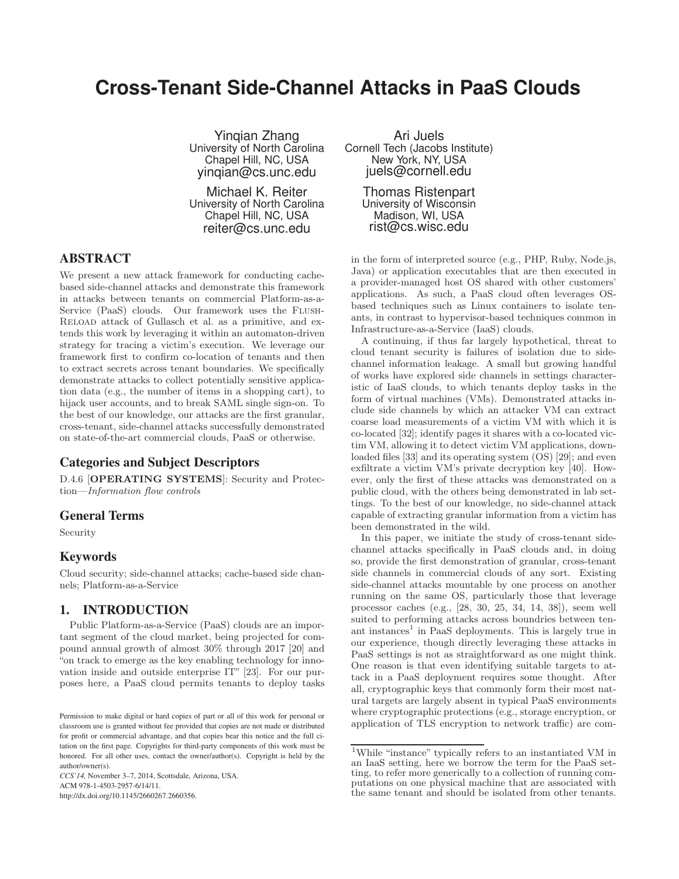# **Cross-Tenant Side-Channel Attacks in PaaS Clouds**

Yinqian Zhang University of North Carolina Chapel Hill, NC, USA yinqian@cs.unc.edu

Michael K. Reiter University of North Carolina Chapel Hill, NC, USA reiter@cs.unc.edu

# ABSTRACT

We present a new attack framework for conducting cachebased side-channel attacks and demonstrate this framework in attacks between tenants on commercial Platform-as-a-Service (PaaS) clouds. Our framework uses the FLUSH-Reload attack of Gullasch et al. as a primitive, and extends this work by leveraging it within an automaton-driven strategy for tracing a victim's execution. We leverage our framework first to confirm co-location of tenants and then to extract secrets across tenant boundaries. We specifically demonstrate attacks to collect potentially sensitive application data (e.g., the number of items in a shopping cart), to hijack user accounts, and to break SAML single sign-on. To the best of our knowledge, our attacks are the first granular, cross-tenant, side-channel attacks successfully demonstrated on state-of-the-art commercial clouds, PaaS or otherwise.

### Categories and Subject Descriptors

D.4.6 [OPERATING SYSTEMS]: Security and Protection—Information flow controls

### General Terms

Security

### **Keywords**

Cloud security; side-channel attacks; cache-based side channels; Platform-as-a-Service

# 1. INTRODUCTION

Public Platform-as-a-Service (PaaS) clouds are an important segment of the cloud market, being projected for compound annual growth of almost 30% through 2017 [20] and "on track to emerge as the key enabling technology for innovation inside and outside enterprise IT" [23]. For our purposes here, a PaaS cloud permits tenants to deploy tasks

*CCS'14,* November 3–7, 2014, Scottsdale, Arizona, USA. ACM 978-1-4503-2957-6/14/11. http://dx.doi.org/10.1145/2660267.2660356.

Ari Juels Cornell Tech (Jacobs Institute) New York, NY, USA juels@cornell.edu

> Thomas Ristenpart University of Wisconsin Madison, WI, USA rist@cs.wisc.edu

in the form of interpreted source (e.g., PHP, Ruby, Node.js, Java) or application executables that are then executed in a provider-managed host OS shared with other customers' applications. As such, a PaaS cloud often leverages OSbased techniques such as Linux containers to isolate tenants, in contrast to hypervisor-based techniques common in Infrastructure-as-a-Service (IaaS) clouds.

A continuing, if thus far largely hypothetical, threat to cloud tenant security is failures of isolation due to sidechannel information leakage. A small but growing handful of works have explored side channels in settings characteristic of IaaS clouds, to which tenants deploy tasks in the form of virtual machines (VMs). Demonstrated attacks include side channels by which an attacker VM can extract coarse load measurements of a victim VM with which it is co-located [32]; identify pages it shares with a co-located victim VM, allowing it to detect victim VM applications, downloaded files [33] and its operating system (OS) [29]; and even exfiltrate a victim VM's private decryption key [40]. However, only the first of these attacks was demonstrated on a public cloud, with the others being demonstrated in lab settings. To the best of our knowledge, no side-channel attack capable of extracting granular information from a victim has been demonstrated in the wild.

In this paper, we initiate the study of cross-tenant sidechannel attacks specifically in PaaS clouds and, in doing so, provide the first demonstration of granular, cross-tenant side channels in commercial clouds of any sort. Existing side-channel attacks mountable by one process on another running on the same OS, particularly those that leverage processor caches (e.g., [28, 30, 25, 34, 14, 38]), seem well suited to performing attacks across boundries between tenant instances<sup>1</sup> in PaaS deployments. This is largely true in our experience, though directly leveraging these attacks in PaaS settings is not as straightforward as one might think. One reason is that even identifying suitable targets to attack in a PaaS deployment requires some thought. After all, cryptographic keys that commonly form their most natural targets are largely absent in typical PaaS environments where cryptographic protections (e.g., storage encryption, or application of TLS encryption to network traffic) are com-

Permission to make digital or hard copies of part or all of this work for personal or classroom use is granted without fee provided that copies are not made or distributed for profit or commercial advantage, and that copies bear this notice and the full citation on the first page. Copyrights for third-party components of this work must be honored. For all other uses, contact the owner/author(s). Copyright is held by the author/owner(s).

<sup>1</sup>While "instance" typically refers to an instantiated VM in an IaaS setting, here we borrow the term for the PaaS setting, to refer more generically to a collection of running computations on one physical machine that are associated with the same tenant and should be isolated from other tenants.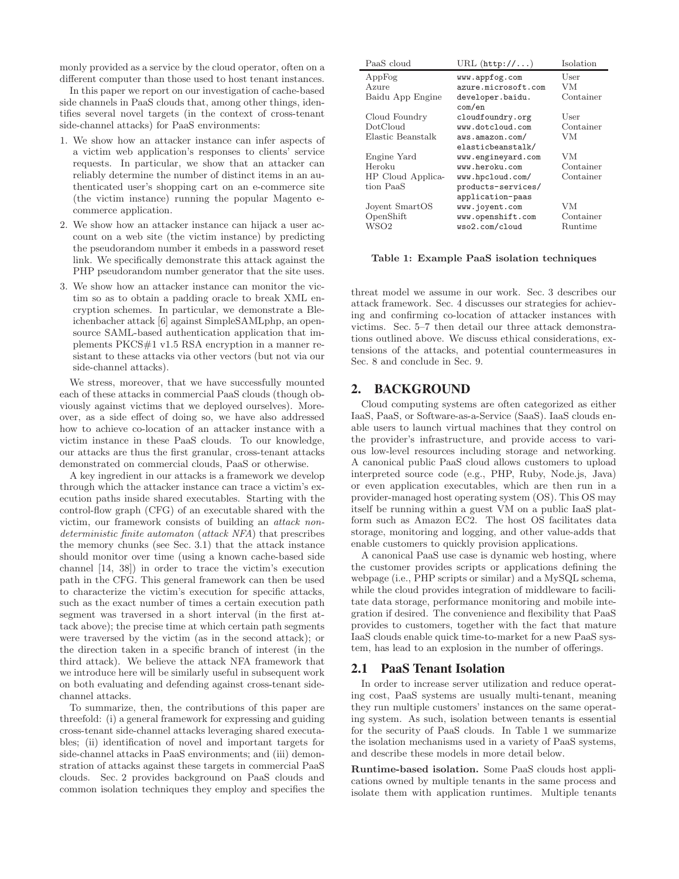monly provided as a service by the cloud operator, often on a different computer than those used to host tenant instances.

In this paper we report on our investigation of cache-based side channels in PaaS clouds that, among other things, identifies several novel targets (in the context of cross-tenant side-channel attacks) for PaaS environments:

- 1. We show how an attacker instance can infer aspects of a victim web application's responses to clients' service requests. In particular, we show that an attacker can reliably determine the number of distinct items in an authenticated user's shopping cart on an e-commerce site (the victim instance) running the popular Magento ecommerce application.
- 2. We show how an attacker instance can hijack a user account on a web site (the victim instance) by predicting the pseudorandom number it embeds in a password reset link. We specifically demonstrate this attack against the PHP pseudorandom number generator that the site uses.
- 3. We show how an attacker instance can monitor the victim so as to obtain a padding oracle to break XML encryption schemes. In particular, we demonstrate a Bleichenbacher attack [6] against SimpleSAMLphp, an opensource SAML-based authentication application that implements PKCS#1 v1.5 RSA encryption in a manner resistant to these attacks via other vectors (but not via our side-channel attacks).

We stress, moreover, that we have successfully mounted each of these attacks in commercial PaaS clouds (though obviously against victims that we deployed ourselves). Moreover, as a side effect of doing so, we have also addressed how to achieve co-location of an attacker instance with a victim instance in these PaaS clouds. To our knowledge, our attacks are thus the first granular, cross-tenant attacks demonstrated on commercial clouds, PaaS or otherwise.

A key ingredient in our attacks is a framework we develop through which the attacker instance can trace a victim's execution paths inside shared executables. Starting with the control-flow graph (CFG) of an executable shared with the victim, our framework consists of building an attack nondeterministic finite automaton (attack NFA) that prescribes the memory chunks (see Sec. 3.1) that the attack instance should monitor over time (using a known cache-based side channel [14, 38]) in order to trace the victim's execution path in the CFG. This general framework can then be used to characterize the victim's execution for specific attacks, such as the exact number of times a certain execution path segment was traversed in a short interval (in the first attack above); the precise time at which certain path segments were traversed by the victim (as in the second attack); or the direction taken in a specific branch of interest (in the third attack). We believe the attack NFA framework that we introduce here will be similarly useful in subsequent work on both evaluating and defending against cross-tenant sidechannel attacks.

To summarize, then, the contributions of this paper are threefold: (i) a general framework for expressing and guiding cross-tenant side-channel attacks leveraging shared executables; (ii) identification of novel and important targets for side-channel attacks in PaaS environments; and (iii) demonstration of attacks against these targets in commercial PaaS clouds. Sec. 2 provides background on PaaS clouds and common isolation techniques they employ and specifies the

| Paa <sub>S</sub> cloud | URL $(http://)$     | Isolation |  |
|------------------------|---------------------|-----------|--|
| AppFog                 | www.appfog.com      | User      |  |
| Azure                  | azure.microsoft.com | VМ        |  |
| Baidu App Engine       | developer.baidu.    | Container |  |
|                        | com/en              |           |  |
| Cloud Foundry          | cloudfoundry.org    | User      |  |
| Dot Cloud              | www.dotcloud.com    | Container |  |
| Elastic Beanstalk      | aws.amazon.com/     | VМ        |  |
|                        | elasticbeanstalk/   |           |  |
| Engine Yard            | www.engineyard.com  | VМ        |  |
| Heroku                 | www.heroku.com      | Container |  |
| HP Cloud Applica-      | www.hpcloud.com/    | Container |  |
| tion PaaS              | products-services/  |           |  |
|                        | application-paas    |           |  |
| Joyent SmartOS         | www.joyent.com      | VМ        |  |
| OpenShift              | www.openshift.com   | Container |  |
| WSO <sub>2</sub>       | wso2.com/cloud      | Runtime   |  |

#### Table 1: Example PaaS isolation techniques

threat model we assume in our work. Sec. 3 describes our attack framework. Sec. 4 discusses our strategies for achieving and confirming co-location of attacker instances with victims. Sec. 5–7 then detail our three attack demonstrations outlined above. We discuss ethical considerations, extensions of the attacks, and potential countermeasures in Sec. 8 and conclude in Sec. 9.

### 2. BACKGROUND

Cloud computing systems are often categorized as either IaaS, PaaS, or Software-as-a-Service (SaaS). IaaS clouds enable users to launch virtual machines that they control on the provider's infrastructure, and provide access to various low-level resources including storage and networking. A canonical public PaaS cloud allows customers to upload interpreted source code (e.g., PHP, Ruby, Node.js, Java) or even application executables, which are then run in a provider-managed host operating system (OS). This OS may itself be running within a guest VM on a public IaaS platform such as Amazon EC2. The host OS facilitates data storage, monitoring and logging, and other value-adds that enable customers to quickly provision applications.

A canonical PaaS use case is dynamic web hosting, where the customer provides scripts or applications defining the webpage (i.e., PHP scripts or similar) and a MySQL schema, while the cloud provides integration of middleware to facilitate data storage, performance monitoring and mobile integration if desired. The convenience and flexibility that PaaS provides to customers, together with the fact that mature IaaS clouds enable quick time-to-market for a new PaaS system, has lead to an explosion in the number of offerings.

### 2.1 PaaS Tenant Isolation

In order to increase server utilization and reduce operating cost, PaaS systems are usually multi-tenant, meaning they run multiple customers' instances on the same operating system. As such, isolation between tenants is essential for the security of PaaS clouds. In Table 1 we summarize the isolation mechanisms used in a variety of PaaS systems, and describe these models in more detail below.

Runtime-based isolation. Some PaaS clouds host applications owned by multiple tenants in the same process and isolate them with application runtimes. Multiple tenants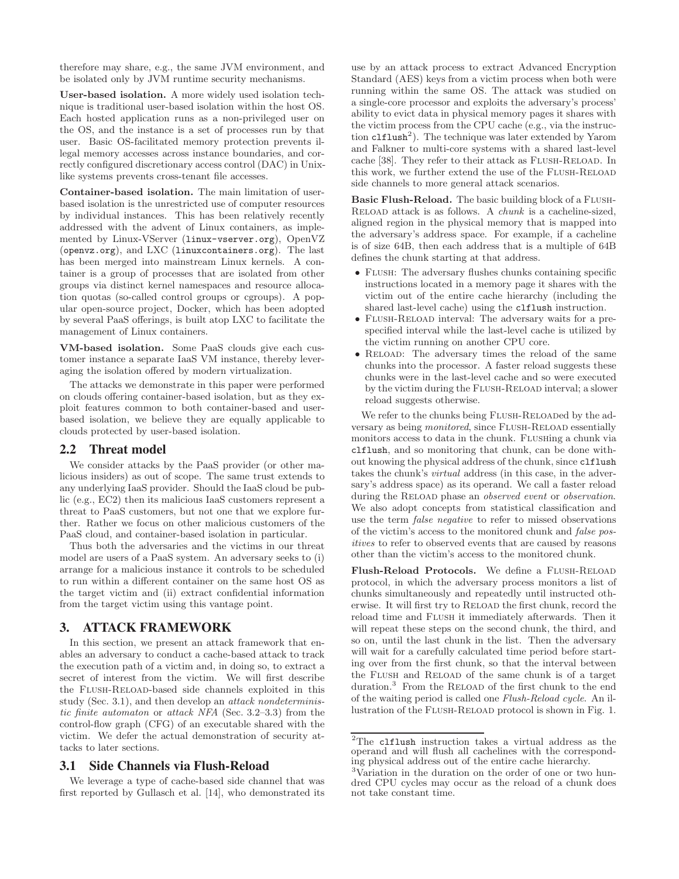therefore may share, e.g., the same JVM environment, and be isolated only by JVM runtime security mechanisms.

User-based isolation. A more widely used isolation technique is traditional user-based isolation within the host OS. Each hosted application runs as a non-privileged user on the OS, and the instance is a set of processes run by that user. Basic OS-facilitated memory protection prevents illegal memory accesses across instance boundaries, and correctly configured discretionary access control (DAC) in Unixlike systems prevents cross-tenant file accesses.

Container-based isolation. The main limitation of userbased isolation is the unrestricted use of computer resources by individual instances. This has been relatively recently addressed with the advent of Linux containers, as implemented by Linux-VServer (linux-vserver.org), OpenVZ (openvz.org), and LXC (linuxcontainers.org). The last has been merged into mainstream Linux kernels. A container is a group of processes that are isolated from other groups via distinct kernel namespaces and resource allocation quotas (so-called control groups or cgroups). A popular open-source project, Docker, which has been adopted by several PaaS offerings, is built atop LXC to facilitate the management of Linux containers.

VM-based isolation. Some PaaS clouds give each customer instance a separate IaaS VM instance, thereby leveraging the isolation offered by modern virtualization.

The attacks we demonstrate in this paper were performed on clouds offering container-based isolation, but as they exploit features common to both container-based and userbased isolation, we believe they are equally applicable to clouds protected by user-based isolation.

### 2.2 Threat model

We consider attacks by the PaaS provider (or other malicious insiders) as out of scope. The same trust extends to any underlying IaaS provider. Should the IaaS cloud be public (e.g., EC2) then its malicious IaaS customers represent a threat to PaaS customers, but not one that we explore further. Rather we focus on other malicious customers of the PaaS cloud, and container-based isolation in particular.

Thus both the adversaries and the victims in our threat model are users of a PaaS system. An adversary seeks to (i) arrange for a malicious instance it controls to be scheduled to run within a different container on the same host OS as the target victim and (ii) extract confidential information from the target victim using this vantage point.

### 3. ATTACK FRAMEWORK

In this section, we present an attack framework that enables an adversary to conduct a cache-based attack to track the execution path of a victim and, in doing so, to extract a secret of interest from the victim. We will first describe the Flush-Reload-based side channels exploited in this study (Sec. 3.1), and then develop an *attack nondeterminis*tic finite automaton or attack NFA (Sec. 3.2–3.3) from the control-flow graph (CFG) of an executable shared with the victim. We defer the actual demonstration of security attacks to later sections.

### 3.1 Side Channels via Flush-Reload

We leverage a type of cache-based side channel that was first reported by Gullasch et al. [14], who demonstrated its use by an attack process to extract Advanced Encryption Standard (AES) keys from a victim process when both were running within the same OS. The attack was studied on a single-core processor and exploits the adversary's process' ability to evict data in physical memory pages it shares with the victim process from the CPU cache (e.g., via the instruction clflush<sup>2</sup>). The technique was later extended by Yarom and Falkner to multi-core systems with a shared last-level cache [38]. They refer to their attack as Flush-Reload. In this work, we further extend the use of the FLUSH-RELOAD side channels to more general attack scenarios.

Basic Flush-Reload. The basic building block of a FLUSH-RELOAD attack is as follows. A *chunk* is a cacheline-sized, aligned region in the physical memory that is mapped into the adversary's address space. For example, if a cacheline is of size 64B, then each address that is a multiple of 64B defines the chunk starting at that address.

- FLUSH: The adversary flushes chunks containing specific instructions located in a memory page it shares with the victim out of the entire cache hierarchy (including the shared last-level cache) using the clflush instruction.
- FLUSH-RELOAD interval: The adversary waits for a prespecified interval while the last-level cache is utilized by the victim running on another CPU core.
- RELOAD: The adversary times the reload of the same chunks into the processor. A faster reload suggests these chunks were in the last-level cache and so were executed by the victim during the Flush-Reload interval; a slower reload suggests otherwise.

We refer to the chunks being FLUSH-RELOADed by the adversary as being *monitored*, since FLUSH-RELOAD essentially monitors access to data in the chunk. FLUSHing a chunk via clflush, and so monitoring that chunk, can be done without knowing the physical address of the chunk, since clflush takes the chunk's virtual address (in this case, in the adversary's address space) as its operand. We call a faster reload during the RELOAD phase an *observed event* or *observation*. We also adopt concepts from statistical classification and use the term false negative to refer to missed observations of the victim's access to the monitored chunk and false positives to refer to observed events that are caused by reasons other than the victim's access to the monitored chunk.

Flush-Reload Protocols. We define a FLUSH-RELOAD protocol, in which the adversary process monitors a list of chunks simultaneously and repeatedly until instructed otherwise. It will first try to Reload the first chunk, record the reload time and Flush it immediately afterwards. Then it will repeat these steps on the second chunk, the third, and so on, until the last chunk in the list. Then the adversary will wait for a carefully calculated time period before starting over from the first chunk, so that the interval between the Flush and Reload of the same chunk is of a target duration.<sup>3</sup> From the RELOAD of the first chunk to the end of the waiting period is called one Flush-Reload cycle. An illustration of the Flush-Reload protocol is shown in Fig. 1.

<sup>2</sup>The clflush instruction takes a virtual address as the operand and will flush all cachelines with the corresponding physical address out of the entire cache hierarchy.

<sup>3</sup>Variation in the duration on the order of one or two hundred CPU cycles may occur as the reload of a chunk does not take constant time.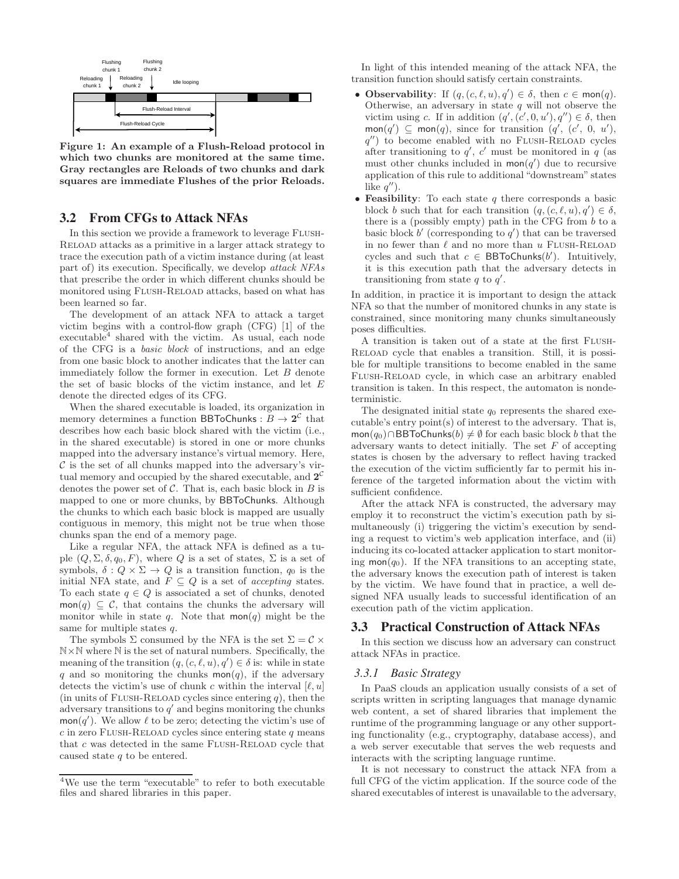

Figure 1: An example of a Flush-Reload protocol in which two chunks are monitored at the same time. Gray rectangles are Reloads of two chunks and dark squares are immediate Flushes of the prior Reloads.

### 3.2 From CFGs to Attack NFAs

In this section we provide a framework to leverage FLUSH-Reload attacks as a primitive in a larger attack strategy to trace the execution path of a victim instance during (at least part of) its execution. Specifically, we develop attack NFAs that prescribe the order in which different chunks should be monitored using Flush-Reload attacks, based on what has been learned so far.

The development of an attack NFA to attack a target victim begins with a control-flow graph (CFG) [1] of the executable<sup>4</sup> shared with the victim. As usual, each node of the CFG is a basic block of instructions, and an edge from one basic block to another indicates that the latter can immediately follow the former in execution. Let  $B$  denote the set of basic blocks of the victim instance, and let  $E$ denote the directed edges of its CFG.

When the shared executable is loaded, its organization in memory determines a function BBToChunks :  $B \to 2^C$  that describes how each basic block shared with the victim (i.e., in the shared executable) is stored in one or more chunks mapped into the adversary instance's virtual memory. Here,  $\mathcal C$  is the set of all chunks mapped into the adversary's virtual memory and occupied by the shared executable, and  $2^{\mathcal{C}}$ denotes the power set of  $C$ . That is, each basic block in  $B$  is mapped to one or more chunks, by BBToChunks. Although the chunks to which each basic block is mapped are usually contiguous in memory, this might not be true when those chunks span the end of a memory page.

Like a regular NFA, the attack NFA is defined as a tuple  $(Q, \Sigma, \delta, q_0, F)$ , where Q is a set of states,  $\Sigma$  is a set of symbols,  $\delta: Q \times \Sigma \to Q$  is a transition function,  $q_0$  is the initial NFA state, and  $F \subseteq Q$  is a set of  $accepting$  states. To each state  $q \in Q$  is associated a set of chunks, denoted  $\mathsf{mon}(q) \subseteq \mathcal{C}$ , that contains the chunks the adversary will monitor while in state q. Note that  $\text{mon}(q)$  might be the same for multiple states  $q$ .

The symbols  $\Sigma$  consumed by the NFA is the set  $\Sigma = \mathcal{C} \times$  $N \times N$  where N is the set of natural numbers. Specifically, the meaning of the transition  $(q, (c, \ell, u), q') \in \delta$  is: while in state q and so monitoring the chunks  $\text{mon}(q)$ , if the adversary detects the victim's use of chunk c within the interval  $[\ell, u]$ (in units of FLUSH-RELOAD cycles since entering q), then the adversary transitions to  $q'$  and begins monitoring the chunks  $\textsf{mon}(q')$ . We allow  $\ell$  to be zero; detecting the victim's use of  $c$  in zero FLUSH-RELOAD cycles since entering state  $q$  means that  $c$  was detected in the same  $FLUSH-RELOAD$  cycle that caused state  $q$  to be entered.

In light of this intended meaning of the attack NFA, the transition function should satisfy certain constraints.

- Observability: If  $(q, (c, \ell, u), q') \in \delta$ , then  $c \in \text{mon}(q)$ . Otherwise, an adversary in state  $q$  will not observe the victim using c. If in addition  $(q', (c', 0, u'), q'') \in \delta$ , then  $\text{mon}(q') \subseteq \text{mon}(q)$ , since for transition  $(q', (c', 0, u'),$  $q'$ ) to become enabled with no FLUSH-RELOAD cycles after transitioning to  $q'$ , c' must be monitored in q (as must other chunks included in  $\text{mon}(q')$  due to recursive application of this rule to additional "downstream" states like  $q'$ ).
- Feasibility: To each state q there corresponds a basic block b such that for each transition  $(q, (c, \ell, u), q') \in \delta$ , there is a (possibly empty) path in the CFG from b to a basic block  $b'$  (corresponding to  $q'$ ) that can be traversed in no fewer than  $\ell$  and no more than  $u$  FLUSH-RELOAD cycles and such that  $c \in \text{BBToChunks}(b')$ . Intuitively, it is this execution path that the adversary detects in transitioning from state  $q$  to  $q'$ .

In addition, in practice it is important to design the attack NFA so that the number of monitored chunks in any state is constrained, since monitoring many chunks simultaneously poses difficulties.

A transition is taken out of a state at the first Flush-Reload cycle that enables a transition. Still, it is possible for multiple transitions to become enabled in the same Flush-Reload cycle, in which case an arbitrary enabled transition is taken. In this respect, the automaton is nondeterministic.

The designated initial state  $q_0$  represents the shared executable's entry point(s) of interest to the adversary. That is, mon(q<sub>0</sub>)∩BBToChunks(b)  $\neq$  Ø for each basic block b that the adversary wants to detect initially. The set  $F$  of accepting states is chosen by the adversary to reflect having tracked the execution of the victim sufficiently far to permit his inference of the targeted information about the victim with sufficient confidence.

After the attack NFA is constructed, the adversary may employ it to reconstruct the victim's execution path by simultaneously (i) triggering the victim's execution by sending a request to victim's web application interface, and (ii) inducing its co-located attacker application to start monitoring mon $(q_0)$ . If the NFA transitions to an accepting state, the adversary knows the execution path of interest is taken by the victim. We have found that in practice, a well designed NFA usually leads to successful identification of an execution path of the victim application.

### 3.3 Practical Construction of Attack NFAs

In this section we discuss how an adversary can construct attack NFAs in practice.

#### *3.3.1 Basic Strategy*

In PaaS clouds an application usually consists of a set of scripts written in scripting languages that manage dynamic web content, a set of shared libraries that implement the runtime of the programming language or any other supporting functionality (e.g., cryptography, database access), and a web server executable that serves the web requests and interacts with the scripting language runtime.

It is not necessary to construct the attack NFA from a full CFG of the victim application. If the source code of the shared executables of interest is unavailable to the adversary,

<sup>4</sup>We use the term "executable" to refer to both executable files and shared libraries in this paper.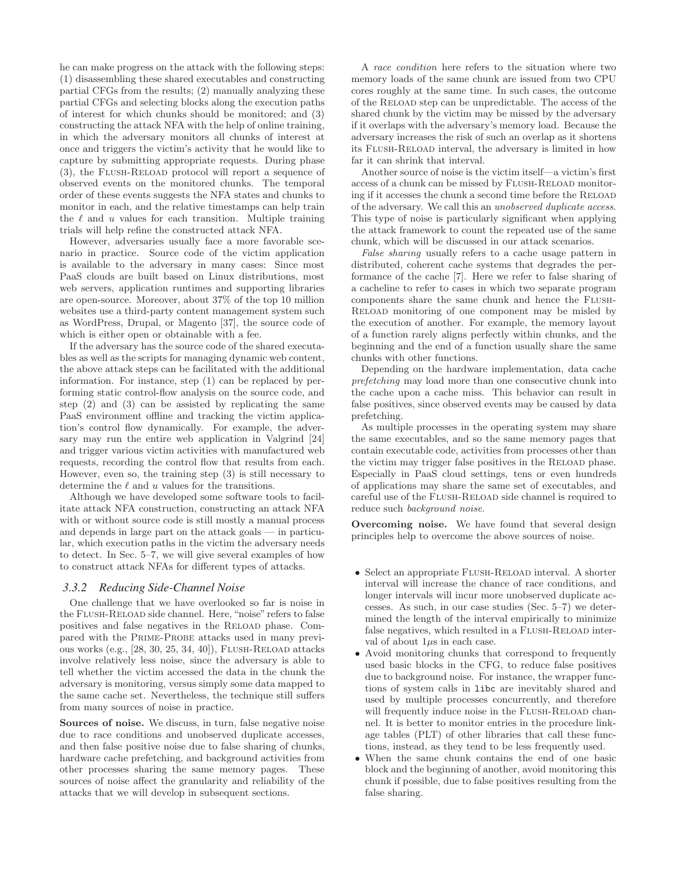he can make progress on the attack with the following steps: (1) disassembling these shared executables and constructing partial CFGs from the results; (2) manually analyzing these partial CFGs and selecting blocks along the execution paths of interest for which chunks should be monitored; and (3) constructing the attack NFA with the help of online training, in which the adversary monitors all chunks of interest at once and triggers the victim's activity that he would like to capture by submitting appropriate requests. During phase (3), the Flush-Reload protocol will report a sequence of observed events on the monitored chunks. The temporal order of these events suggests the NFA states and chunks to monitor in each, and the relative timestamps can help train the  $\ell$  and  $u$  values for each transition. Multiple training trials will help refine the constructed attack NFA.

However, adversaries usually face a more favorable scenario in practice. Source code of the victim application is available to the adversary in many cases: Since most PaaS clouds are built based on Linux distributions, most web servers, application runtimes and supporting libraries are open-source. Moreover, about 37% of the top 10 million websites use a third-party content management system such as WordPress, Drupal, or Magento [37], the source code of which is either open or obtainable with a fee.

If the adversary has the source code of the shared executables as well as the scripts for managing dynamic web content, the above attack steps can be facilitated with the additional information. For instance, step (1) can be replaced by performing static control-flow analysis on the source code, and step (2) and (3) can be assisted by replicating the same PaaS environment offline and tracking the victim application's control flow dynamically. For example, the adversary may run the entire web application in Valgrind [24] and trigger various victim activities with manufactured web requests, recording the control flow that results from each. However, even so, the training step (3) is still necessary to determine the  $\ell$  and  $u$  values for the transitions.

Although we have developed some software tools to facilitate attack NFA construction, constructing an attack NFA with or without source code is still mostly a manual process and depends in large part on the attack goals — in particular, which execution paths in the victim the adversary needs to detect. In Sec. 5–7, we will give several examples of how to construct attack NFAs for different types of attacks.

#### *3.3.2 Reducing Side-Channel Noise*

One challenge that we have overlooked so far is noise in the Flush-Reload side channel. Here, "noise" refers to false positives and false negatives in the Reload phase. Compared with the Prime-Probe attacks used in many previous works (e.g.,  $[28, 30, 25, 34, 40]$ ), FLUSH-RELOAD attacks involve relatively less noise, since the adversary is able to tell whether the victim accessed the data in the chunk the adversary is monitoring, versus simply some data mapped to the same cache set. Nevertheless, the technique still suffers from many sources of noise in practice.

Sources of noise. We discuss, in turn, false negative noise due to race conditions and unobserved duplicate accesses, and then false positive noise due to false sharing of chunks, hardware cache prefetching, and background activities from other processes sharing the same memory pages. These sources of noise affect the granularity and reliability of the attacks that we will develop in subsequent sections.

A race condition here refers to the situation where two memory loads of the same chunk are issued from two CPU cores roughly at the same time. In such cases, the outcome of the Reload step can be unpredictable. The access of the shared chunk by the victim may be missed by the adversary if it overlaps with the adversary's memory load. Because the adversary increases the risk of such an overlap as it shortens its Flush-Reload interval, the adversary is limited in how far it can shrink that interval.

Another source of noise is the victim itself—a victim's first access of a chunk can be missed by Flush-Reload monitoring if it accesses the chunk a second time before the RELOAD of the adversary. We call this an unobserved duplicate access. This type of noise is particularly significant when applying the attack framework to count the repeated use of the same chunk, which will be discussed in our attack scenarios.

False sharing usually refers to a cache usage pattern in distributed, coherent cache systems that degrades the performance of the cache [7]. Here we refer to false sharing of a cacheline to refer to cases in which two separate program components share the same chunk and hence the Flush-Reload monitoring of one component may be misled by the execution of another. For example, the memory layout of a function rarely aligns perfectly within chunks, and the beginning and the end of a function usually share the same chunks with other functions.

Depending on the hardware implementation, data cache prefetching may load more than one consecutive chunk into the cache upon a cache miss. This behavior can result in false positives, since observed events may be caused by data prefetching.

As multiple processes in the operating system may share the same executables, and so the same memory pages that contain executable code, activities from processes other than the victim may trigger false positives in the Reload phase. Especially in PaaS cloud settings, tens or even hundreds of applications may share the same set of executables, and careful use of the Flush-Reload side channel is required to reduce such background noise.

Overcoming noise. We have found that several design principles help to overcome the above sources of noise.

- Select an appropriate FLUSH-RELOAD interval. A shorter interval will increase the chance of race conditions, and longer intervals will incur more unobserved duplicate accesses. As such, in our case studies (Sec. 5–7) we determined the length of the interval empirically to minimize false negatives, which resulted in a FLUSH-RELOAD interval of about  $1\mu s$  in each case.
- Avoid monitoring chunks that correspond to frequently used basic blocks in the CFG, to reduce false positives due to background noise. For instance, the wrapper functions of system calls in libc are inevitably shared and used by multiple processes concurrently, and therefore will frequently induce noise in the FLUSH-RELOAD channel. It is better to monitor entries in the procedure linkage tables (PLT) of other libraries that call these functions, instead, as they tend to be less frequently used.
- When the same chunk contains the end of one basic block and the beginning of another, avoid monitoring this chunk if possible, due to false positives resulting from the false sharing.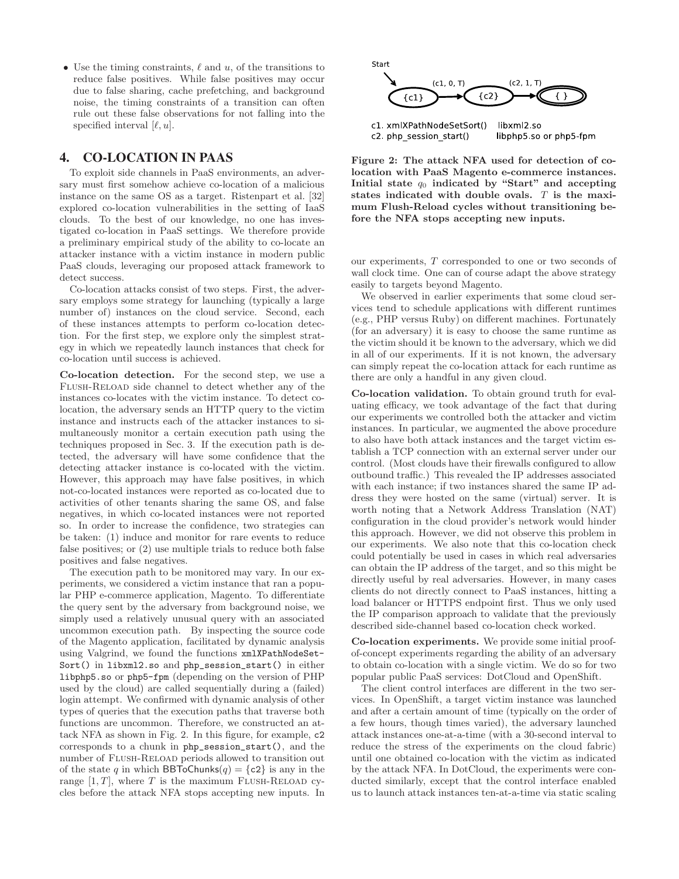• Use the timing constraints,  $\ell$  and  $u$ , of the transitions to reduce false positives. While false positives may occur due to false sharing, cache prefetching, and background noise, the timing constraints of a transition can often rule out these false observations for not falling into the specified interval  $[\ell, u]$ .

# 4. CO-LOCATION IN PAAS

To exploit side channels in PaaS environments, an adversary must first somehow achieve co-location of a malicious instance on the same OS as a target. Ristenpart et al. [32] explored co-location vulnerabilities in the setting of IaaS clouds. To the best of our knowledge, no one has investigated co-location in PaaS settings. We therefore provide a preliminary empirical study of the ability to co-locate an attacker instance with a victim instance in modern public PaaS clouds, leveraging our proposed attack framework to detect success.

Co-location attacks consist of two steps. First, the adversary employs some strategy for launching (typically a large number of) instances on the cloud service. Second, each of these instances attempts to perform co-location detection. For the first step, we explore only the simplest strategy in which we repeatedly launch instances that check for co-location until success is achieved.

Co-location detection. For the second step, we use a Flush-Reload side channel to detect whether any of the instances co-locates with the victim instance. To detect colocation, the adversary sends an HTTP query to the victim instance and instructs each of the attacker instances to simultaneously monitor a certain execution path using the techniques proposed in Sec. 3. If the execution path is detected, the adversary will have some confidence that the detecting attacker instance is co-located with the victim. However, this approach may have false positives, in which not-co-located instances were reported as co-located due to activities of other tenants sharing the same OS, and false negatives, in which co-located instances were not reported so. In order to increase the confidence, two strategies can be taken: (1) induce and monitor for rare events to reduce false positives; or (2) use multiple trials to reduce both false positives and false negatives.

The execution path to be monitored may vary. In our experiments, we considered a victim instance that ran a popular PHP e-commerce application, Magento. To differentiate the query sent by the adversary from background noise, we simply used a relatively unusual query with an associated uncommon execution path. By inspecting the source code of the Magento application, facilitated by dynamic analysis using Valgrind, we found the functions xmlXPathNodeSet-Sort() in libxml2.so and php\_session\_start() in either libphp5.so or php5-fpm (depending on the version of PHP used by the cloud) are called sequentially during a (failed) login attempt. We confirmed with dynamic analysis of other types of queries that the execution paths that traverse both functions are uncommon. Therefore, we constructed an attack NFA as shown in Fig. 2. In this figure, for example, c2 corresponds to a chunk in php\_session\_start(), and the number of Flush-Reload periods allowed to transition out of the state q in which BBToChunks $(q) = \{c2\}$  is any in the range  $[1, T]$ , where T is the maximum FLUSH-RELOAD cycles before the attack NFA stops accepting new inputs. In



c1 xmlXPathNodeSetSort() libxml2.so c2. php\_session\_start() libphp5 so or php5-fpm

Figure 2: The attack NFA used for detection of colocation with PaaS Magento e-commerce instances. Initial state  $q_0$  indicated by "Start" and accepting states indicated with double ovals. T is the maximum Flush-Reload cycles without transitioning before the NFA stops accepting new inputs.

our experiments, T corresponded to one or two seconds of wall clock time. One can of course adapt the above strategy easily to targets beyond Magento.

We observed in earlier experiments that some cloud services tend to schedule applications with different runtimes (e.g., PHP versus Ruby) on different machines. Fortunately (for an adversary) it is easy to choose the same runtime as the victim should it be known to the adversary, which we did in all of our experiments. If it is not known, the adversary can simply repeat the co-location attack for each runtime as there are only a handful in any given cloud.

Co-location validation. To obtain ground truth for evaluating efficacy, we took advantage of the fact that during our experiments we controlled both the attacker and victim instances. In particular, we augmented the above procedure to also have both attack instances and the target victim establish a TCP connection with an external server under our control. (Most clouds have their firewalls configured to allow outbound traffic.) This revealed the IP addresses associated with each instance; if two instances shared the same IP address they were hosted on the same (virtual) server. It is worth noting that a Network Address Translation (NAT) configuration in the cloud provider's network would hinder this approach. However, we did not observe this problem in our experiments. We also note that this co-location check could potentially be used in cases in which real adversaries can obtain the IP address of the target, and so this might be directly useful by real adversaries. However, in many cases clients do not directly connect to PaaS instances, hitting a load balancer or HTTPS endpoint first. Thus we only used the IP comparison approach to validate that the previously described side-channel based co-location check worked.

Co-location experiments. We provide some initial proofof-concept experiments regarding the ability of an adversary to obtain co-location with a single victim. We do so for two popular public PaaS services: DotCloud and OpenShift.

The client control interfaces are different in the two services. In OpenShift, a target victim instance was launched and after a certain amount of time (typically on the order of a few hours, though times varied), the adversary launched attack instances one-at-a-time (with a 30-second interval to reduce the stress of the experiments on the cloud fabric) until one obtained co-location with the victim as indicated by the attack NFA. In DotCloud, the experiments were conducted similarly, except that the control interface enabled us to launch attack instances ten-at-a-time via static scaling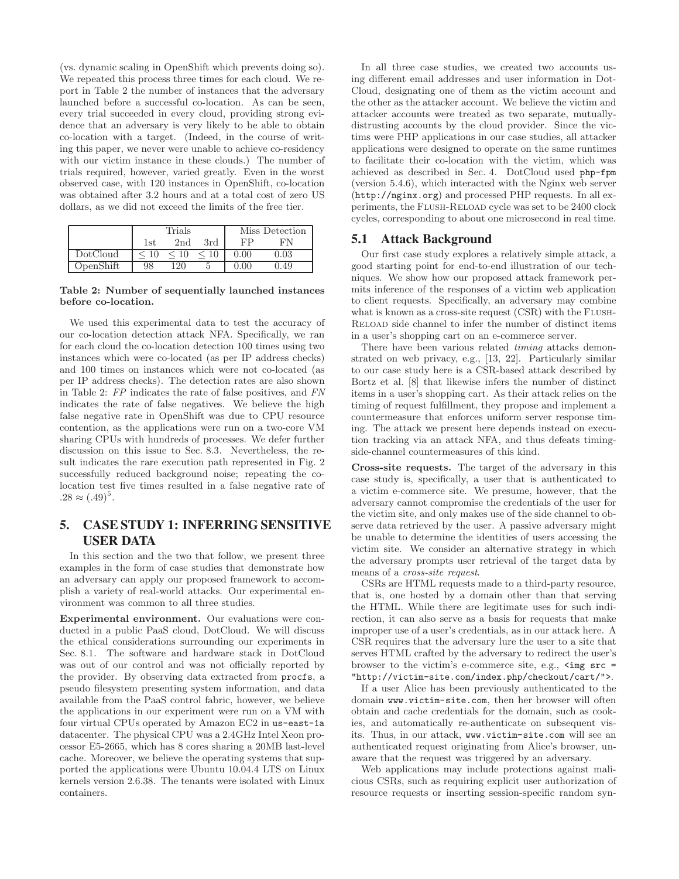(vs. dynamic scaling in OpenShift which prevents doing so). We repeated this process three times for each cloud. We report in Table 2 the number of instances that the adversary launched before a successful co-location. As can be seen, every trial succeeded in every cloud, providing strong evidence that an adversary is very likely to be able to obtain co-location with a target. (Indeed, in the course of writing this paper, we never were unable to achieve co-residency with our victim instance in these clouds.) The number of trials required, however, varied greatly. Even in the worst observed case, with 120 instances in OpenShift, co-location was obtained after 3.2 hours and at a total cost of zero US dollars, as we did not exceed the limits of the free tier.

|           | Trials       |      |     | Miss Detection |            |  |
|-----------|--------------|------|-----|----------------|------------|--|
|           | $_{\rm 1st}$ | 2nd  | 3rd | FР             |            |  |
| DotCloud  |              |      | -10 | $0.00\,$       | $\rm 0.03$ |  |
| OpenShift | 98           | 120. |     | 0.00           | 0.49       |  |

#### Table 2: Number of sequentially launched instances before co-location.

We used this experimental data to test the accuracy of our co-location detection attack NFA. Specifically, we ran for each cloud the co-location detection 100 times using two instances which were co-located (as per IP address checks) and 100 times on instances which were not co-located (as per IP address checks). The detection rates are also shown in Table 2: FP indicates the rate of false positives, and FN indicates the rate of false negatives. We believe the high false negative rate in OpenShift was due to CPU resource contention, as the applications were run on a two-core VM sharing CPUs with hundreds of processes. We defer further discussion on this issue to Sec. 8.3. Nevertheless, the result indicates the rare execution path represented in Fig. 2 successfully reduced background noise; repeating the colocation test five times resulted in a false negative rate of  $.28 \approx (.49)^5$ .

# 5. CASE STUDY 1: INFERRING SENSITIVE USER DATA

In this section and the two that follow, we present three examples in the form of case studies that demonstrate how an adversary can apply our proposed framework to accomplish a variety of real-world attacks. Our experimental environment was common to all three studies.

Experimental environment. Our evaluations were conducted in a public PaaS cloud, DotCloud. We will discuss the ethical considerations surrounding our experiments in Sec. 8.1. The software and hardware stack in DotCloud was out of our control and was not officially reported by the provider. By observing data extracted from procfs, a pseudo filesystem presenting system information, and data available from the PaaS control fabric, however, we believe the applications in our experiment were run on a VM with four virtual CPUs operated by Amazon EC2 in us-east-1a datacenter. The physical CPU was a 2.4GHz Intel Xeon processor E5-2665, which has 8 cores sharing a 20MB last-level cache. Moreover, we believe the operating systems that supported the applications were Ubuntu 10.04.4 LTS on Linux kernels version 2.6.38. The tenants were isolated with Linux containers.

In all three case studies, we created two accounts using different email addresses and user information in Dot-Cloud, designating one of them as the victim account and the other as the attacker account. We believe the victim and attacker accounts were treated as two separate, mutuallydistrusting accounts by the cloud provider. Since the victims were PHP applications in our case studies, all attacker applications were designed to operate on the same runtimes to facilitate their co-location with the victim, which was achieved as described in Sec. 4. DotCloud used php-fpm (version 5.4.6), which interacted with the Nginx web server (http://nginx.org) and processed PHP requests. In all experiments, the Flush-Reload cycle was set to be 2400 clock cycles, corresponding to about one microsecond in real time.

### 5.1 Attack Background

Our first case study explores a relatively simple attack, a good starting point for end-to-end illustration of our techniques. We show how our proposed attack framework permits inference of the responses of a victim web application to client requests. Specifically, an adversary may combine what is known as a cross-site request (CSR) with the FLUSH-Reload side channel to infer the number of distinct items in a user's shopping cart on an e-commerce server.

There have been various related timing attacks demonstrated on web privacy, e.g., [13, 22]. Particularly similar to our case study here is a CSR-based attack described by Bortz et al. [8] that likewise infers the number of distinct items in a user's shopping cart. As their attack relies on the timing of request fulfillment, they propose and implement a countermeasure that enforces uniform server response timing. The attack we present here depends instead on execution tracking via an attack NFA, and thus defeats timingside-channel countermeasures of this kind.

Cross-site requests. The target of the adversary in this case study is, specifically, a user that is authenticated to a victim e-commerce site. We presume, however, that the adversary cannot compromise the credentials of the user for the victim site, and only makes use of the side channel to observe data retrieved by the user. A passive adversary might be unable to determine the identities of users accessing the victim site. We consider an alternative strategy in which the adversary prompts user retrieval of the target data by means of a cross-site request.

CSRs are HTML requests made to a third-party resource, that is, one hosted by a domain other than that serving the HTML. While there are legitimate uses for such indirection, it can also serve as a basis for requests that make improper use of a user's credentials, as in our attack here. A CSR requires that the adversary lure the user to a site that serves HTML crafted by the adversary to redirect the user's browser to the victim's e-commerce site, e.g.,  $\langle \text{img src} =$ "http://victim-site.com/index.php/checkout/cart/">.

If a user Alice has been previously authenticated to the domain www.victim-site.com, then her browser will often obtain and cache credentials for the domain, such as cookies, and automatically re-authenticate on subsequent visits. Thus, in our attack, www.victim-site.com will see an authenticated request originating from Alice's browser, unaware that the request was triggered by an adversary.

Web applications may include protections against malicious CSRs, such as requiring explicit user authorization of resource requests or inserting session-specific random syn-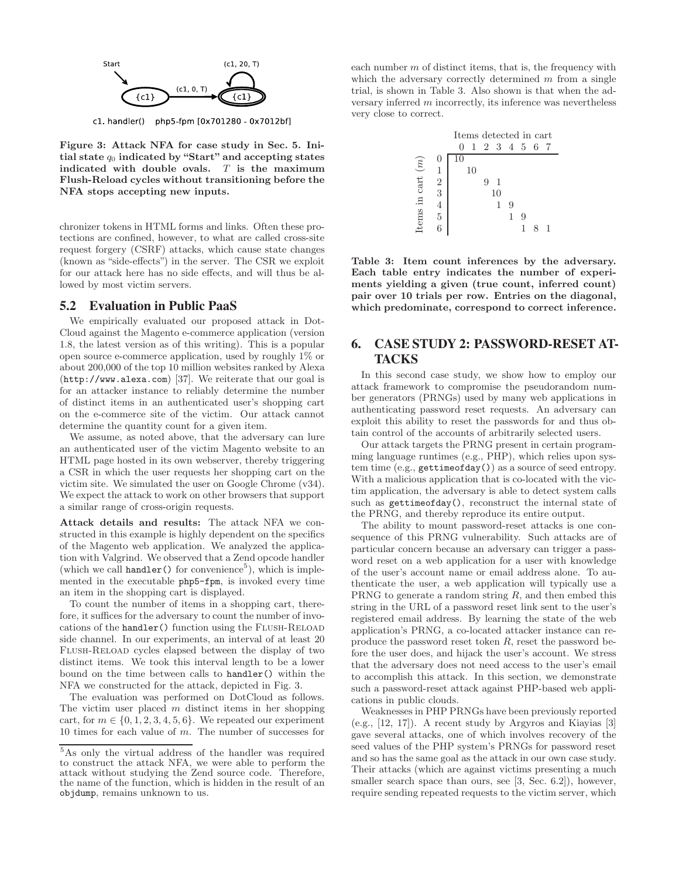

c1. handler() php5-fpm [0x701280 - 0x7012bf]

Figure 3: Attack NFA for case study in Sec. 5. Initial state  $q_0$  indicated by "Start" and accepting states indicated with double ovals.  $T$  is the maximum Flush-Reload cycles without transitioning before the NFA stops accepting new inputs.

chronizer tokens in HTML forms and links. Often these protections are confined, however, to what are called cross-site request forgery (CSRF) attacks, which cause state changes (known as "side-effects") in the server. The CSR we exploit for our attack here has no side effects, and will thus be allowed by most victim servers.

### 5.2 Evaluation in Public PaaS

We empirically evaluated our proposed attack in Dot-Cloud against the Magento e-commerce application (version 1.8, the latest version as of this writing). This is a popular open source e-commerce application, used by roughly 1% or about 200,000 of the top 10 million websites ranked by Alexa (http://www.alexa.com) [37]. We reiterate that our goal is for an attacker instance to reliably determine the number of distinct items in an authenticated user's shopping cart on the e-commerce site of the victim. Our attack cannot determine the quantity count for a given item.

We assume, as noted above, that the adversary can lure an authenticated user of the victim Magento website to an HTML page hosted in its own webserver, thereby triggering a CSR in which the user requests her shopping cart on the victim site. We simulated the user on Google Chrome (v34). We expect the attack to work on other browsers that support a similar range of cross-origin requests.

Attack details and results: The attack NFA we constructed in this example is highly dependent on the specifics of the Magento web application. We analyzed the application with Valgrind. We observed that a Zend opcode handler (which we call handler () for convenience<sup>5</sup>), which is implemented in the executable php5-fpm, is invoked every time an item in the shopping cart is displayed.

To count the number of items in a shopping cart, therefore, it suffices for the adversary to count the number of invocations of the handler() function using the FLUSH-RELOAD side channel. In our experiments, an interval of at least 20 Flush-Reload cycles elapsed between the display of two distinct items. We took this interval length to be a lower bound on the time between calls to handler() within the NFA we constructed for the attack, depicted in Fig. 3.

The evaluation was performed on DotCloud as follows. The victim user placed  $m$  distinct items in her shopping cart, for  $m \in \{0, 1, 2, 3, 4, 5, 6\}$ . We repeated our experiment 10 times for each value of m. The number of successes for each number  $m$  of distinct items, that is, the frequency with which the adversary correctly determined  $m$  from a single trial, is shown in Table 3. Also shown is that when the adversary inferred  $m$  incorrectly, its inference was nevertheless very close to correct.

|                                       |                | Items detected in cart<br>0 |    | 1 2 3 4 5 6 |                |   |   | 7 |  |
|---------------------------------------|----------------|-----------------------------|----|-------------|----------------|---|---|---|--|
|                                       | 0              | 10                          |    |             |                |   |   |   |  |
|                                       | $\mathbf{1}$   |                             | 10 |             |                |   |   |   |  |
| $\operatorname*{cart}\left( m\right)$ | $\frac{2}{3}$  |                             |    | 9           | $\overline{1}$ |   |   |   |  |
|                                       |                |                             |    |             | 10             |   |   |   |  |
| Items in                              | $\overline{4}$ |                             |    |             | 1              | 9 |   |   |  |
|                                       | $\overline{5}$ |                             |    |             |                | 1 | 9 |   |  |
|                                       | 6              |                             |    |             |                |   |   |   |  |

Table 3: Item count inferences by the adversary. Each table entry indicates the number of experiments yielding a given (true count, inferred count) pair over 10 trials per row. Entries on the diagonal, which predominate, correspond to correct inference.

# 6. CASE STUDY 2: PASSWORD-RESET AT-TACKS

In this second case study, we show how to employ our attack framework to compromise the pseudorandom number generators (PRNGs) used by many web applications in authenticating password reset requests. An adversary can exploit this ability to reset the passwords for and thus obtain control of the accounts of arbitrarily selected users.

Our attack targets the PRNG present in certain programming language runtimes (e.g., PHP), which relies upon system time (e.g., gettimeofday()) as a source of seed entropy. With a malicious application that is co-located with the victim application, the adversary is able to detect system calls such as gettimeofday(), reconstruct the internal state of the PRNG, and thereby reproduce its entire output.

The ability to mount password-reset attacks is one consequence of this PRNG vulnerability. Such attacks are of particular concern because an adversary can trigger a password reset on a web application for a user with knowledge of the user's account name or email address alone. To authenticate the user, a web application will typically use a PRNG to generate a random string  $R$ , and then embed this string in the URL of a password reset link sent to the user's registered email address. By learning the state of the web application's PRNG, a co-located attacker instance can reproduce the password reset token R, reset the password before the user does, and hijack the user's account. We stress that the adversary does not need access to the user's email to accomplish this attack. In this section, we demonstrate such a password-reset attack against PHP-based web applications in public clouds.

Weaknesses in PHP PRNGs have been previously reported (e.g., [12, 17]). A recent study by Argyros and Kiayias [3] gave several attacks, one of which involves recovery of the seed values of the PHP system's PRNGs for password reset and so has the same goal as the attack in our own case study. Their attacks (which are against victims presenting a much smaller search space than ours, see [3, Sec. 6.2]), however, require sending repeated requests to the victim server, which

<sup>5</sup>As only the virtual address of the handler was required to construct the attack NFA, we were able to perform the attack without studying the Zend source code. Therefore, the name of the function, which is hidden in the result of an objdump, remains unknown to us.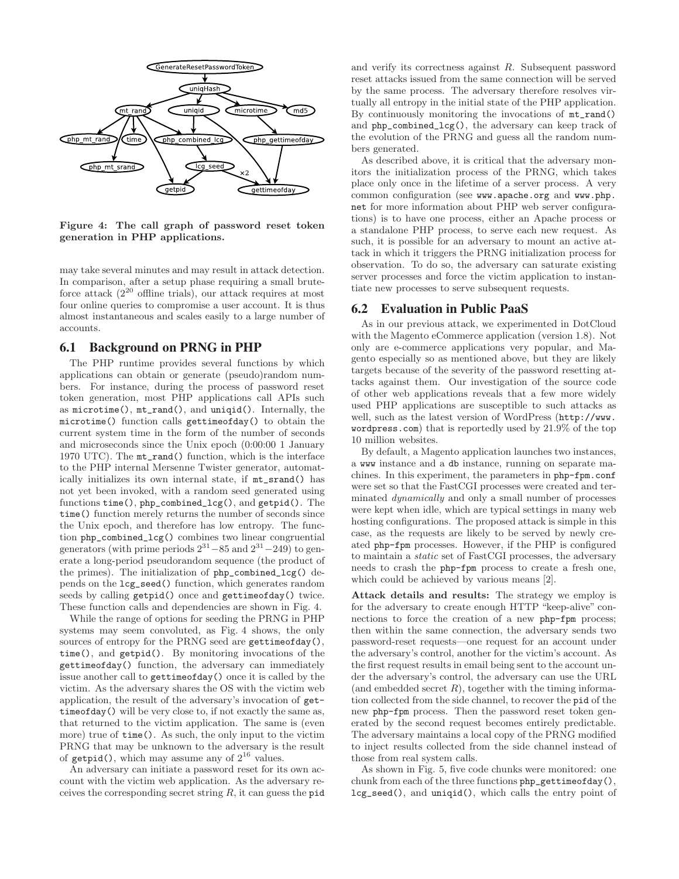

Figure 4: The call graph of password reset token generation in PHP applications.

may take several minutes and may result in attack detection. In comparison, after a setup phase requiring a small bruteforce attack  $(2^{20}$  offline trials), our attack requires at most four online queries to compromise a user account. It is thus almost instantaneous and scales easily to a large number of accounts.

### 6.1 Background on PRNG in PHP

The PHP runtime provides several functions by which applications can obtain or generate (pseudo)random numbers. For instance, during the process of password reset token generation, most PHP applications call APIs such as microtime(), mt\_rand(), and uniqid(). Internally, the microtime() function calls gettimeofday() to obtain the current system time in the form of the number of seconds and microseconds since the Unix epoch (0:00:00 1 January 1970 UTC). The mt\_rand() function, which is the interface to the PHP internal Mersenne Twister generator, automatically initializes its own internal state, if mt\_srand() has not yet been invoked, with a random seed generated using functions time(), php\_combined\_lcg(), and getpid(). The time() function merely returns the number of seconds since the Unix epoch, and therefore has low entropy. The function php\_combined\_lcg() combines two linear congruential generators (with prime periods  $2^{31} - 85$  and  $2^{31} - 249$ ) to generate a long-period pseudorandom sequence (the product of the primes). The initialization of php\_combined\_lcg() depends on the lcg\_seed() function, which generates random seeds by calling getpid() once and gettimeofday() twice. These function calls and dependencies are shown in Fig. 4.

While the range of options for seeding the PRNG in PHP systems may seem convoluted, as Fig. 4 shows, the only sources of entropy for the PRNG seed are gettimeofday(), time(), and getpid(). By monitoring invocations of the gettimeofday() function, the adversary can immediately issue another call to gettimeofday() once it is called by the victim. As the adversary shares the OS with the victim web application, the result of the adversary's invocation of gettimeofday() will be very close to, if not exactly the same as, that returned to the victim application. The same is (even more) true of time(). As such, the only input to the victim PRNG that may be unknown to the adversary is the result of  $getpid()$ , which may assume any of  $2^{16}$  values.

An adversary can initiate a password reset for its own account with the victim web application. As the adversary receives the corresponding secret string  $R$ , it can guess the pid and verify its correctness against R. Subsequent password reset attacks issued from the same connection will be served by the same process. The adversary therefore resolves virtually all entropy in the initial state of the PHP application. By continuously monitoring the invocations of mt\_rand() and php\_combined\_lcg(), the adversary can keep track of the evolution of the PRNG and guess all the random numbers generated.

As described above, it is critical that the adversary monitors the initialization process of the PRNG, which takes place only once in the lifetime of a server process. A very common configuration (see www.apache.org and www.php. net for more information about PHP web server configurations) is to have one process, either an Apache process or a standalone PHP process, to serve each new request. As such, it is possible for an adversary to mount an active attack in which it triggers the PRNG initialization process for observation. To do so, the adversary can saturate existing server processes and force the victim application to instantiate new processes to serve subsequent requests.

#### 6.2 Evaluation in Public PaaS

As in our previous attack, we experimented in DotCloud with the Magento eCommerce application (version 1.8). Not only are e-commerce applications very popular, and Magento especially so as mentioned above, but they are likely targets because of the severity of the password resetting attacks against them. Our investigation of the source code of other web applications reveals that a few more widely used PHP applications are susceptible to such attacks as well, such as the latest version of WordPress (http://www. wordpress.com) that is reportedly used by 21.9% of the top 10 million websites.

By default, a Magento application launches two instances, a www instance and a db instance, running on separate machines. In this experiment, the parameters in php-fpm.conf were set so that the FastCGI processes were created and terminated dynamically and only a small number of processes were kept when idle, which are typical settings in many web hosting configurations. The proposed attack is simple in this case, as the requests are likely to be served by newly created php-fpm processes. However, if the PHP is configured to maintain a static set of FastCGI processes, the adversary needs to crash the php-fpm process to create a fresh one, which could be achieved by various means [2].

Attack details and results: The strategy we employ is for the adversary to create enough HTTP "keep-alive" connections to force the creation of a new php-fpm process; then within the same connection, the adversary sends two password-reset requests—one request for an account under the adversary's control, another for the victim's account. As the first request results in email being sent to the account under the adversary's control, the adversary can use the URL (and embedded secret  $R$ ), together with the timing information collected from the side channel, to recover the pid of the new php-fpm process. Then the password reset token generated by the second request becomes entirely predictable. The adversary maintains a local copy of the PRNG modified to inject results collected from the side channel instead of those from real system calls.

As shown in Fig. 5, five code chunks were monitored: one chunk from each of the three functions php\_gettimeofday(), lcg\_seed(), and uniqid(), which calls the entry point of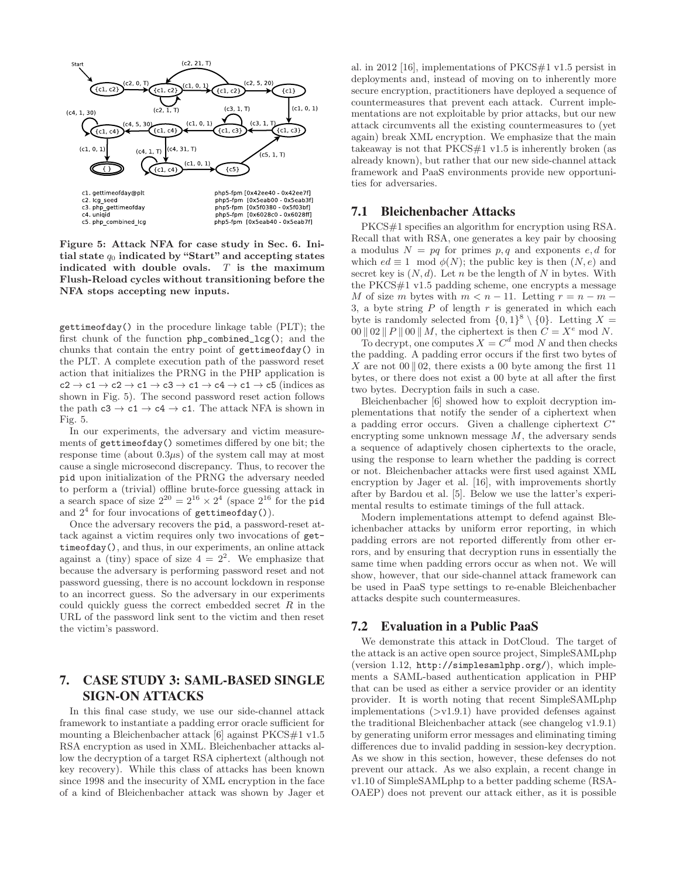

Figure 5: Attack NFA for case study in Sec. 6. Initial state  $q_0$  indicated by "Start" and accepting states indicated with double ovals.  $T$  is the maximum Flush-Reload cycles without transitioning before the NFA stops accepting new inputs.

gettimeofday() in the procedure linkage table (PLT); the first chunk of the function php\_combined\_lcg(); and the chunks that contain the entry point of gettimeofday() in the PLT. A complete execution path of the password reset action that initializes the PRNG in the PHP application is  $c2 \rightarrow c1 \rightarrow c2 \rightarrow c1 \rightarrow c3 \rightarrow c1 \rightarrow c4 \rightarrow c1 \rightarrow c5$  (indices as shown in Fig. 5). The second password reset action follows the path  $c3 \rightarrow c1 \rightarrow c4 \rightarrow c1$ . The attack NFA is shown in Fig. 5.

In our experiments, the adversary and victim measurements of gettimeofday() sometimes differed by one bit; the response time (about  $0.3\mu s$ ) of the system call may at most cause a single microsecond discrepancy. Thus, to recover the pid upon initialization of the PRNG the adversary needed to perform a (trivial) offline brute-force guessing attack in a search space of size  $2^{20} = 2^{16} \times 2^4$  (space  $2^{16}$  for the pid and  $2^4$  for four invocations of gettimeofday()).

Once the adversary recovers the pid, a password-reset attack against a victim requires only two invocations of gettimeofday(), and thus, in our experiments, an online attack against a (tiny) space of size  $4 = 2^2$ . We emphasize that because the adversary is performing password reset and not password guessing, there is no account lockdown in response to an incorrect guess. So the adversary in our experiments could quickly guess the correct embedded secret  $R$  in the URL of the password link sent to the victim and then reset the victim's password.

# 7. CASE STUDY 3: SAML-BASED SINGLE SIGN-ON ATTACKS

In this final case study, we use our side-channel attack framework to instantiate a padding error oracle sufficient for mounting a Bleichenbacher attack [6] against PKCS#1 v1.5 RSA encryption as used in XML. Bleichenbacher attacks allow the decryption of a target RSA ciphertext (although not key recovery). While this class of attacks has been known since 1998 and the insecurity of XML encryption in the face of a kind of Bleichenbacher attack was shown by Jager et

al. in 2012 [16], implementations of PKCS#1 v1.5 persist in deployments and, instead of moving on to inherently more secure encryption, practitioners have deployed a sequence of countermeasures that prevent each attack. Current implementations are not exploitable by prior attacks, but our new attack circumvents all the existing countermeasures to (yet again) break XML encryption. We emphasize that the main takeaway is not that PKCS#1 v1.5 is inherently broken (as already known), but rather that our new side-channel attack framework and PaaS environments provide new opportunities for adversaries.

#### 7.1 Bleichenbacher Attacks

PKCS#1 specifies an algorithm for encryption using RSA. Recall that with RSA, one generates a key pair by choosing a modulus  $N = pq$  for primes p, q and exponents e, d for which  $ed \equiv 1 \mod \phi(N)$ ; the public key is then  $(N, e)$  and secret key is  $(N, d)$ . Let n be the length of N in bytes. With the PKCS#1 v1.5 padding scheme, one encrypts a message M of size m bytes with  $m < n - 11$ . Letting  $r = n - m$ 3, a byte string  $P$  of length  $r$  is generated in which each byte is randomly selected from  $\{0,1\}^8 \setminus \{0\}$ . Letting  $X =$  $00 \parallel 02 \parallel P \parallel 00 \parallel M$ , the ciphertext is then  $C = X^e \mod N$ .

To decrypt, one computes  $X = C^d$  mod N and then checks the padding. A padding error occurs if the first two bytes of X are not 00 || 02, there exists a 00 byte among the first 11 bytes, or there does not exist a 00 byte at all after the first two bytes. Decryption fails in such a case.

Bleichenbacher [6] showed how to exploit decryption implementations that notify the sender of a ciphertext when a padding error occurs. Given a challenge ciphertext  $C^*$ encrypting some unknown message  $M$ , the adversary sends a sequence of adaptively chosen ciphertexts to the oracle, using the response to learn whether the padding is correct or not. Bleichenbacher attacks were first used against XML encryption by Jager et al. [16], with improvements shortly after by Bardou et al. [5]. Below we use the latter's experimental results to estimate timings of the full attack.

Modern implementations attempt to defend against Bleichenbacher attacks by uniform error reporting, in which padding errors are not reported differently from other errors, and by ensuring that decryption runs in essentially the same time when padding errors occur as when not. We will show, however, that our side-channel attack framework can be used in PaaS type settings to re-enable Bleichenbacher attacks despite such countermeasures.

### 7.2 Evaluation in a Public PaaS

We demonstrate this attack in DotCloud. The target of the attack is an active open source project, SimpleSAMLphp (version 1.12, http://simplesamlphp.org/), which implements a SAML-based authentication application in PHP that can be used as either a service provider or an identity provider. It is worth noting that recent SimpleSAMLphp implementations  $(>v1.9.1)$  have provided defenses against the traditional Bleichenbacher attack (see changelog v1.9.1) by generating uniform error messages and eliminating timing differences due to invalid padding in session-key decryption. As we show in this section, however, these defenses do not prevent our attack. As we also explain, a recent change in v1.10 of SimpleSAMLphp to a better padding scheme (RSA-OAEP) does not prevent our attack either, as it is possible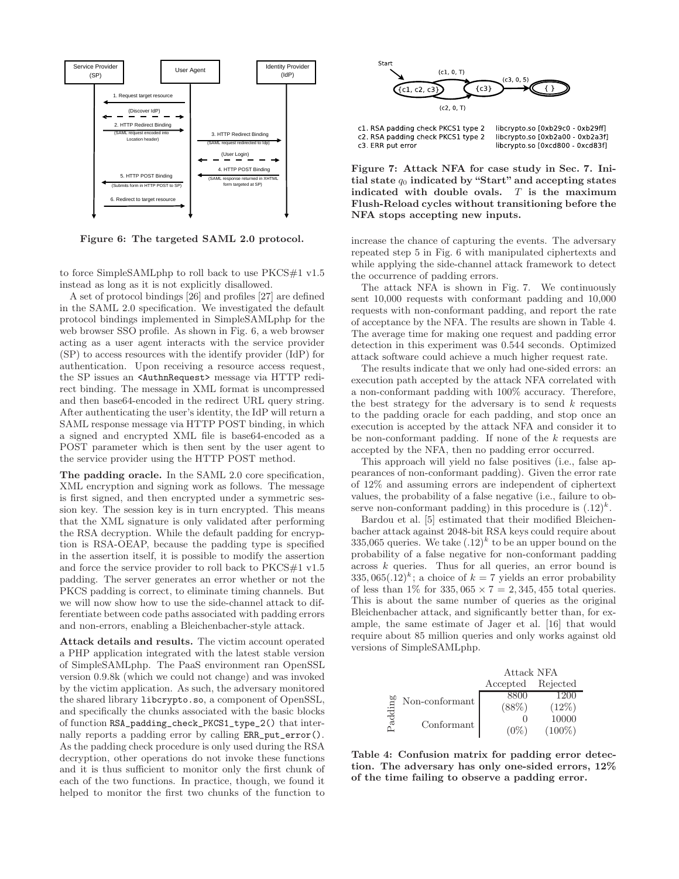

Figure 6: The targeted SAML 2.0 protocol.

to force SimpleSAMLphp to roll back to use PKCS#1 v1.5 instead as long as it is not explicitly disallowed.

A set of protocol bindings [26] and profiles [27] are defined in the SAML 2.0 specification. We investigated the default protocol bindings implemented in SimpleSAMLphp for the web browser SSO profile. As shown in Fig. 6, a web browser acting as a user agent interacts with the service provider (SP) to access resources with the identify provider (IdP) for authentication. Upon receiving a resource access request, the SP issues an <AuthnRequest> message via HTTP redirect binding. The message in XML format is uncompressed and then base64-encoded in the redirect URL query string. After authenticating the user's identity, the IdP will return a SAML response message via HTTP POST binding, in which a signed and encrypted XML file is base64-encoded as a POST parameter which is then sent by the user agent to the service provider using the HTTP POST method.

The padding oracle. In the SAML 2.0 core specification, XML encryption and signing work as follows. The message is first signed, and then encrypted under a symmetric session key. The session key is in turn encrypted. This means that the XML signature is only validated after performing the RSA decryption. While the default padding for encryption is RSA-OEAP, because the padding type is specified in the assertion itself, it is possible to modify the assertion and force the service provider to roll back to  $PKCS#1$  v1.5 padding. The server generates an error whether or not the PKCS padding is correct, to eliminate timing channels. But we will now show how to use the side-channel attack to differentiate between code paths associated with padding errors and non-errors, enabling a Bleichenbacher-style attack.

Attack details and results. The victim account operated a PHP application integrated with the latest stable version of SimpleSAMLphp. The PaaS environment ran OpenSSL version 0.9.8k (which we could not change) and was invoked by the victim application. As such, the adversary monitored the shared library libcrypto.so, a component of OpenSSL, and specifically the chunks associated with the basic blocks of function RSA\_padding\_check\_PKCS1\_type\_2() that internally reports a padding error by calling ERR\_put\_error(). As the padding check procedure is only used during the RSA decryption, other operations do not invoke these functions and it is thus sufficient to monitor only the first chunk of each of the two functions. In practice, though, we found it helped to monitor the first two chunks of the function to



| c1 RSA padding check PKCS1 type 2  | libcrypto.so [0xb29c0 - 0xb29ff] |
|------------------------------------|----------------------------------|
| c2. RSA padding check PKCS1 type 2 | libcrypto so [0xb2a00 - 0xb2a3f] |
| :3 ERR put error                   | libcrypto so [0xcd800 - 0xcd83f] |

Figure 7: Attack NFA for case study in Sec. 7. Initial state  $q_0$  indicated by "Start" and accepting states indicated with double ovals. T is the maximum Flush-Reload cycles without transitioning before the NFA stops accepting new inputs.

increase the chance of capturing the events. The adversary repeated step 5 in Fig. 6 with manipulated ciphertexts and while applying the side-channel attack framework to detect the occurrence of padding errors.

The attack NFA is shown in Fig. 7. We continuously sent 10,000 requests with conformant padding and 10,000 requests with non-conformant padding, and report the rate of acceptance by the NFA. The results are shown in Table 4. The average time for making one request and padding error detection in this experiment was 0.544 seconds. Optimized attack software could achieve a much higher request rate.

The results indicate that we only had one-sided errors: an execution path accepted by the attack NFA correlated with a non-conformant padding with 100% accuracy. Therefore, the best strategy for the adversary is to send  $k$  requests to the padding oracle for each padding, and stop once an execution is accepted by the attack NFA and consider it to be non-conformant padding. If none of the k requests are accepted by the NFA, then no padding error occurred.

This approach will yield no false positives (i.e., false appearances of non-conformant padding). Given the error rate of 12% and assuming errors are independent of ciphertext values, the probability of a false negative (i.e., failure to observe non-conformant padding) in this procedure is  $(.12)^k$ .

Bardou et al. [5] estimated that their modified Bleichenbacher attack against 2048-bit RSA keys could require about 335,065 queries. We take  $(.12)^k$  to be an upper bound on the probability of a false negative for non-conformant padding across k queries. Thus for all queries, an error bound is 335, 065 $(.12)^k$ ; a choice of  $k = 7$  yields an error probability of less than  $1\%$  for  $335,065 \times 7 = 2,345,455$  total queries. This is about the same number of queries as the original Bleichenbacher attack, and significantly better than, for example, the same estimate of Jager et al. [16] that would require about 85 million queries and only works against old versions of SimpleSAMLphp.



Table 4: Confusion matrix for padding error detection. The adversary has only one-sided errors, 12% of the time failing to observe a padding error.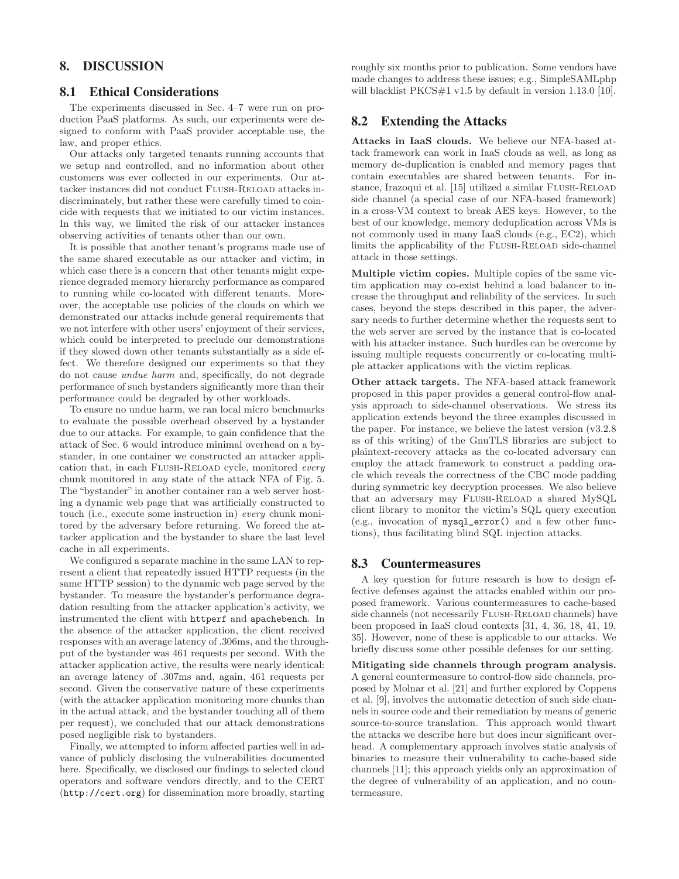# 8. DISCUSSION

## 8.1 Ethical Considerations

The experiments discussed in Sec. 4–7 were run on production PaaS platforms. As such, our experiments were designed to conform with PaaS provider acceptable use, the law, and proper ethics.

Our attacks only targeted tenants running accounts that we setup and controlled, and no information about other customers was ever collected in our experiments. Our attacker instances did not conduct Flush-Reload attacks indiscriminately, but rather these were carefully timed to coincide with requests that we initiated to our victim instances. In this way, we limited the risk of our attacker instances observing activities of tenants other than our own.

It is possible that another tenant's programs made use of the same shared executable as our attacker and victim, in which case there is a concern that other tenants might experience degraded memory hierarchy performance as compared to running while co-located with different tenants. Moreover, the acceptable use policies of the clouds on which we demonstrated our attacks include general requirements that we not interfere with other users' enjoyment of their services, which could be interpreted to preclude our demonstrations if they slowed down other tenants substantially as a side effect. We therefore designed our experiments so that they do not cause undue harm and, specifically, do not degrade performance of such bystanders significantly more than their performance could be degraded by other workloads.

To ensure no undue harm, we ran local micro benchmarks to evaluate the possible overhead observed by a bystander due to our attacks. For example, to gain confidence that the attack of Sec. 6 would introduce minimal overhead on a bystander, in one container we constructed an attacker application that, in each FLUSH-RELOAD cycle, monitored every chunk monitored in any state of the attack NFA of Fig. 5. The "bystander" in another container ran a web server hosting a dynamic web page that was artificially constructed to touch (i.e., execute some instruction in) every chunk monitored by the adversary before returning. We forced the attacker application and the bystander to share the last level cache in all experiments.

We configured a separate machine in the same LAN to represent a client that repeatedly issued HTTP requests (in the same HTTP session) to the dynamic web page served by the bystander. To measure the bystander's performance degradation resulting from the attacker application's activity, we instrumented the client with httperf and apachebench. In the absence of the attacker application, the client received responses with an average latency of .306ms, and the throughput of the bystander was 461 requests per second. With the attacker application active, the results were nearly identical: an average latency of .307ms and, again, 461 requests per second. Given the conservative nature of these experiments (with the attacker application monitoring more chunks than in the actual attack, and the bystander touching all of them per request), we concluded that our attack demonstrations posed negligible risk to bystanders.

Finally, we attempted to inform affected parties well in advance of publicly disclosing the vulnerabilities documented here. Specifically, we disclosed our findings to selected cloud operators and software vendors directly, and to the CERT (http://cert.org) for dissemination more broadly, starting roughly six months prior to publication. Some vendors have made changes to address these issues; e.g., SimpleSAMLphp will blacklist PKCS#1 v1.5 by default in version 1.13.0 [10].

### 8.2 Extending the Attacks

Attacks in IaaS clouds. We believe our NFA-based attack framework can work in IaaS clouds as well, as long as memory de-duplication is enabled and memory pages that contain executables are shared between tenants. For instance, Irazoqui et al. [15] utilized a similar FLUSH-RELOAD side channel (a special case of our NFA-based framework) in a cross-VM context to break AES keys. However, to the best of our knowledge, memory deduplication across VMs is not commonly used in many IaaS clouds (e.g., EC2), which limits the applicability of the FLUSH-RELOAD side-channel attack in those settings.

Multiple victim copies. Multiple copies of the same victim application may co-exist behind a load balancer to increase the throughput and reliability of the services. In such cases, beyond the steps described in this paper, the adversary needs to further determine whether the requests sent to the web server are served by the instance that is co-located with his attacker instance. Such hurdles can be overcome by issuing multiple requests concurrently or co-locating multiple attacker applications with the victim replicas.

Other attack targets. The NFA-based attack framework proposed in this paper provides a general control-flow analysis approach to side-channel observations. We stress its application extends beyond the three examples discussed in the paper. For instance, we believe the latest version (v3.2.8 as of this writing) of the GnuTLS libraries are subject to plaintext-recovery attacks as the co-located adversary can employ the attack framework to construct a padding oracle which reveals the correctness of the CBC mode padding during symmetric key decryption processes. We also believe that an adversary may Flush-Reload a shared MySQL client library to monitor the victim's SQL query execution (e.g., invocation of mysql\_error() and a few other functions), thus facilitating blind SQL injection attacks.

### 8.3 Countermeasures

A key question for future research is how to design effective defenses against the attacks enabled within our proposed framework. Various countermeasures to cache-based side channels (not necessarily FLUSH-RELOAD channels) have been proposed in IaaS cloud contexts [31, 4, 36, 18, 41, 19, 35]. However, none of these is applicable to our attacks. We briefly discuss some other possible defenses for our setting.

Mitigating side channels through program analysis. A general countermeasure to control-flow side channels, proposed by Molnar et al. [21] and further explored by Coppens et al. [9], involves the automatic detection of such side channels in source code and their remediation by means of generic source-to-source translation. This approach would thwart the attacks we describe here but does incur significant overhead. A complementary approach involves static analysis of binaries to measure their vulnerability to cache-based side channels [11]; this approach yields only an approximation of the degree of vulnerability of an application, and no countermeasure.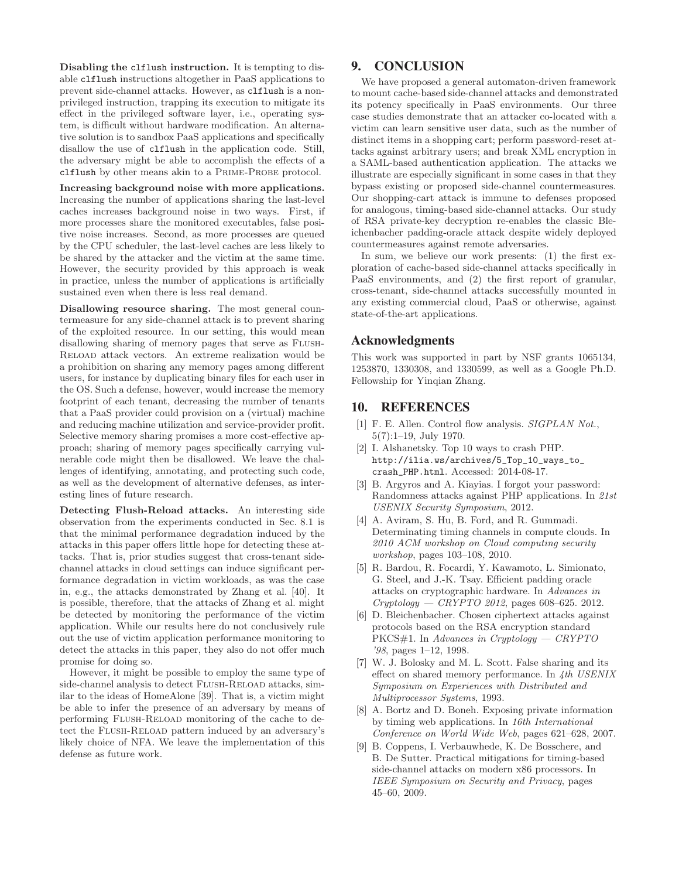Disabling the clflush instruction. It is tempting to disable clflush instructions altogether in PaaS applications to prevent side-channel attacks. However, as clflush is a nonprivileged instruction, trapping its execution to mitigate its effect in the privileged software layer, i.e., operating system, is difficult without hardware modification. An alternative solution is to sandbox PaaS applications and specifically disallow the use of clflush in the application code. Still, the adversary might be able to accomplish the effects of a clflush by other means akin to a PRIME-PROBE protocol.

Increasing background noise with more applications. Increasing the number of applications sharing the last-level caches increases background noise in two ways. First, if more processes share the monitored executables, false positive noise increases. Second, as more processes are queued by the CPU scheduler, the last-level caches are less likely to be shared by the attacker and the victim at the same time. However, the security provided by this approach is weak in practice, unless the number of applications is artificially sustained even when there is less real demand.

Disallowing resource sharing. The most general countermeasure for any side-channel attack is to prevent sharing of the exploited resource. In our setting, this would mean disallowing sharing of memory pages that serve as FLUSH-Reload attack vectors. An extreme realization would be a prohibition on sharing any memory pages among different users, for instance by duplicating binary files for each user in the OS. Such a defense, however, would increase the memory footprint of each tenant, decreasing the number of tenants that a PaaS provider could provision on a (virtual) machine and reducing machine utilization and service-provider profit. Selective memory sharing promises a more cost-effective approach; sharing of memory pages specifically carrying vulnerable code might then be disallowed. We leave the challenges of identifying, annotating, and protecting such code, as well as the development of alternative defenses, as interesting lines of future research.

Detecting Flush-Reload attacks. An interesting side observation from the experiments conducted in Sec. 8.1 is that the minimal performance degradation induced by the attacks in this paper offers little hope for detecting these attacks. That is, prior studies suggest that cross-tenant sidechannel attacks in cloud settings can induce significant performance degradation in victim workloads, as was the case in, e.g., the attacks demonstrated by Zhang et al. [40]. It is possible, therefore, that the attacks of Zhang et al. might be detected by monitoring the performance of the victim application. While our results here do not conclusively rule out the use of victim application performance monitoring to detect the attacks in this paper, they also do not offer much promise for doing so.

However, it might be possible to employ the same type of side-channel analysis to detect FLUSH-RELOAD attacks, similar to the ideas of HomeAlone [39]. That is, a victim might be able to infer the presence of an adversary by means of performing Flush-Reload monitoring of the cache to detect the Flush-Reload pattern induced by an adversary's likely choice of NFA. We leave the implementation of this defense as future work.

### 9. CONCLUSION

We have proposed a general automaton-driven framework to mount cache-based side-channel attacks and demonstrated its potency specifically in PaaS environments. Our three case studies demonstrate that an attacker co-located with a victim can learn sensitive user data, such as the number of distinct items in a shopping cart; perform password-reset attacks against arbitrary users; and break XML encryption in a SAML-based authentication application. The attacks we illustrate are especially significant in some cases in that they bypass existing or proposed side-channel countermeasures. Our shopping-cart attack is immune to defenses proposed for analogous, timing-based side-channel attacks. Our study of RSA private-key decryption re-enables the classic Bleichenbacher padding-oracle attack despite widely deployed countermeasures against remote adversaries.

In sum, we believe our work presents: (1) the first exploration of cache-based side-channel attacks specifically in PaaS environments, and (2) the first report of granular, cross-tenant, side-channel attacks successfully mounted in any existing commercial cloud, PaaS or otherwise, against state-of-the-art applications.

### Acknowledgments

This work was supported in part by NSF grants 1065134, 1253870, 1330308, and 1330599, as well as a Google Ph.D. Fellowship for Yinqian Zhang.

### 10. REFERENCES

- [1] F. E. Allen. Control flow analysis. SIGPLAN Not., 5(7):1–19, July 1970.
- [2] I. Alshanetsky. Top 10 ways to crash PHP. http://ilia.ws/archives/5\_Top\_10\_ways\_to\_ crash\_PHP.html. Accessed: 2014-08-17.
- [3] B. Argyros and A. Kiayias. I forgot your password: Randomness attacks against PHP applications. In 21st USENIX Security Symposium, 2012.
- [4] A. Aviram, S. Hu, B. Ford, and R. Gummadi. Determinating timing channels in compute clouds. In 2010 ACM workshop on Cloud computing security workshop, pages 103–108, 2010.
- [5] R. Bardou, R. Focardi, Y. Kawamoto, L. Simionato, G. Steel, and J.-K. Tsay. Efficient padding oracle attacks on cryptographic hardware. In Advances in  $Cryptography - C RYPTO 2012$ , pages 608-625. 2012.
- [6] D. Bleichenbacher. Chosen ciphertext attacks against protocols based on the RSA encryption standard PKCS#1. In Advances in Cryptology — CRYPTO '98, pages 1–12, 1998.
- [7] W. J. Bolosky and M. L. Scott. False sharing and its effect on shared memory performance. In 4th USENIX Symposium on Experiences with Distributed and Multiprocessor Systems, 1993.
- [8] A. Bortz and D. Boneh. Exposing private information by timing web applications. In 16th International Conference on World Wide Web, pages 621–628, 2007.
- [9] B. Coppens, I. Verbauwhede, K. De Bosschere, and B. De Sutter. Practical mitigations for timing-based side-channel attacks on modern x86 processors. In IEEE Symposium on Security and Privacy, pages 45–60, 2009.